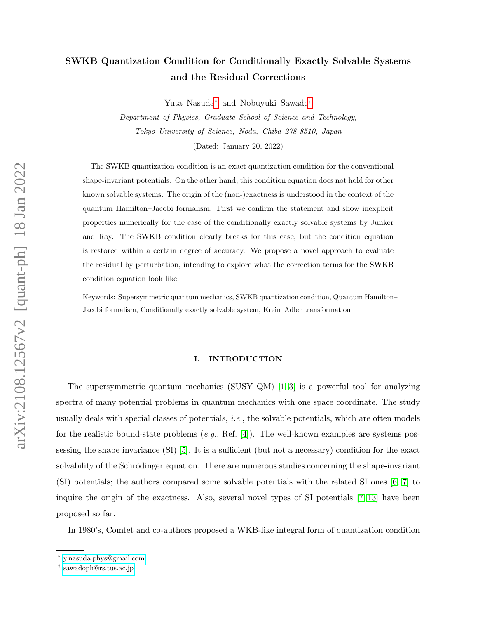# SWKB Quantization Condition for Conditionally Exactly Solvable Systems and the Residual Corrections

Yuta Nasuda[∗](#page-0-0) and Nobuyuki Sawado[†](#page-0-1)

Department of Physics, Graduate School of Science and Technology, Tokyo University of Science, Noda, Chiba 278-8510, Japan

(Dated: January 20, 2022)

The SWKB quantization condition is an exact quantization condition for the conventional shape-invariant potentials. On the other hand, this condition equation does not hold for other known solvable systems. The origin of the (non-)exactness is understood in the context of the quantum Hamilton–Jacobi formalism. First we confirm the statement and show inexplicit properties numerically for the case of the conditionally exactly solvable systems by Junker and Roy. The SWKB condition clearly breaks for this case, but the condition equation is restored within a certain degree of accuracy. We propose a novel approach to evaluate the residual by perturbation, intending to explore what the correction terms for the SWKB condition equation look like.

Keywords: Supersymmetric quantum mechanics, SWKB quantization condition, Quantum Hamilton– Jacobi formalism, Conditionally exactly solvable system, Krein–Adler transformation

## <span id="page-0-2"></span>I. INTRODUCTION

The supersymmetric quantum mechanics (SUSY QM) [\[1–](#page-23-0)[3\]](#page-24-0) is a powerful tool for analyzing spectra of many potential problems in quantum mechanics with one space coordinate. The study usually deals with special classes of potentials, i.e., the solvable potentials, which are often models for the realistic bound-state problems  $(e.g., \text{Ref. } [4])$  $(e.g., \text{Ref. } [4])$  $(e.g., \text{Ref. } [4])$ . The well-known examples are systems possessing the shape invariance (SI) [\[5\]](#page-24-2). It is a sufficient (but not a necessary) condition for the exact solvability of the Schrödinger equation. There are numerous studies concerning the shape-invariant (SI) potentials; the authors compared some solvable potentials with the related SI ones [\[6,](#page-24-3) [7\]](#page-24-4) to inquire the origin of the exactness. Also, several novel types of SI potentials [\[7–](#page-24-4)[13\]](#page-24-5) have been proposed so far.

In 1980's, Comtet and co-authors proposed a WKB-like integral form of quantization condition

<span id="page-0-1"></span><span id="page-0-0"></span><sup>∗</sup> [y.nasuda.phys@gmail.com](mailto:y.nasuda.phys@gmail.com)

<sup>†</sup> [sawadoph@rs.tus.ac.jp](mailto:sawadoph@rs.tus.ac.jp)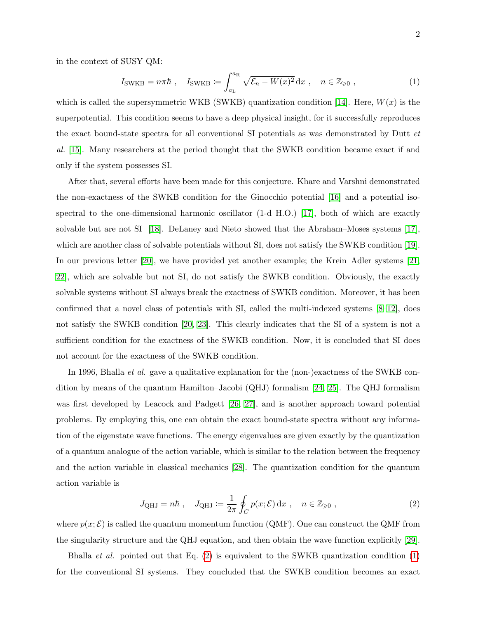in the context of SUSY QM:

<span id="page-1-1"></span>
$$
I_{\text{SWKB}} = n\pi\hbar \ , \quad I_{\text{SWKB}} := \int_{a_{\text{L}}}^{a_{\text{R}}} \sqrt{\mathcal{E}_n - W(x)^2} \, \mathrm{d}x \ , \quad n \in \mathbb{Z}_{\geqslant 0} \ , \tag{1}
$$

which is called the supersymmetric WKB (SWKB) quantization condition [\[14\]](#page-24-6). Here,  $W(x)$  is the superpotential. This condition seems to have a deep physical insight, for it successfully reproduces the exact bound-state spectra for all conventional SI potentials as was demonstrated by Dutt et al. [\[15\]](#page-24-7). Many researchers at the period thought that the SWKB condition became exact if and only if the system possesses SI.

After that, several efforts have been made for this conjecture. Khare and Varshni demonstrated the non-exactness of the SWKB condition for the Ginocchio potential [\[16\]](#page-24-8) and a potential isospectral to the one-dimensional harmonic oscillator (1-d H.O.) [\[17\]](#page-24-9), both of which are exactly solvable but are not SI [\[18\]](#page-24-10). DeLaney and Nieto showed that the Abraham–Moses systems [\[17\]](#page-24-9), which are another class of solvable potentials without SI, does not satisfy the SWKB condition [\[19\]](#page-24-11). In our previous letter [\[20\]](#page-25-0), we have provided yet another example; the Krein–Adler systems [\[21,](#page-25-1) [22\]](#page-25-2), which are solvable but not SI, do not satisfy the SWKB condition. Obviously, the exactly solvable systems without SI always break the exactness of SWKB condition. Moreover, it has been confirmed that a novel class of potentials with SI, called the multi-indexed systems [\[8–](#page-24-12)[12\]](#page-24-13), does not satisfy the SWKB condition [\[20,](#page-25-0) [23\]](#page-25-3). This clearly indicates that the SI of a system is not a sufficient condition for the exactness of the SWKB condition. Now, it is concluded that SI does not account for the exactness of the SWKB condition.

In 1996, Bhalla *et al.* gave a qualitative explanation for the (non-)exactness of the SWKB condition by means of the quantum Hamilton–Jacobi (QHJ) formalism [\[24,](#page-25-4) [25\]](#page-25-5). The QHJ formalism was first developed by Leacock and Padgett [\[26,](#page-25-6) [27\]](#page-25-7), and is another approach toward potential problems. By employing this, one can obtain the exact bound-state spectra without any information of the eigenstate wave functions. The energy eigenvalues are given exactly by the quantization of a quantum analogue of the action variable, which is similar to the relation between the frequency and the action variable in classical mechanics [\[28\]](#page-25-8). The quantization condition for the quantum action variable is

<span id="page-1-0"></span>
$$
J_{\text{QHJ}} = n\hbar \, , \quad J_{\text{QHJ}} := \frac{1}{2\pi} \oint_C p(x;\mathcal{E}) \, \mathrm{d}x \, , \quad n \in \mathbb{Z}_{\geqslant 0} \, , \tag{2}
$$

where  $p(x; \mathcal{E})$  is called the quantum momentum function (QMF). One can construct the QMF from the singularity structure and the QHJ equation, and then obtain the wave function explicitly [\[29\]](#page-25-9).

Bhalla *et al.* pointed out that Eq.  $(2)$  is equivalent to the SWKB quantization condition  $(1)$ for the conventional SI systems. They concluded that the SWKB condition becomes an exact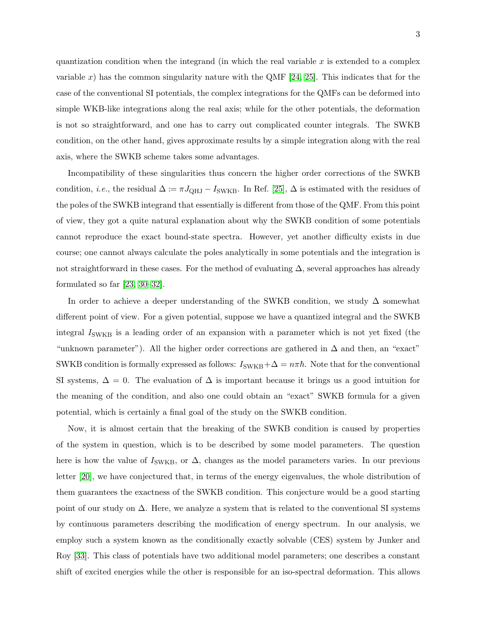quantization condition when the integrand (in which the real variable x is extended to a complex variable x) has the common singularity nature with the QMF  $[24, 25]$  $[24, 25]$ . This indicates that for the case of the conventional SI potentials, the complex integrations for the QMFs can be deformed into simple WKB-like integrations along the real axis; while for the other potentials, the deformation is not so straightforward, and one has to carry out complicated counter integrals. The SWKB condition, on the other hand, gives approximate results by a simple integration along with the real axis, where the SWKB scheme takes some advantages.

Incompatibility of these singularities thus concern the higher order corrections of the SWKB condition, *i.e.*, the residual  $\Delta := \pi J_{QHJ} - I_{SWKB}$ . In Ref. [\[25\]](#page-25-5),  $\Delta$  is estimated with the residues of the poles of the SWKB integrand that essentially is different from those of the QMF. From this point of view, they got a quite natural explanation about why the SWKB condition of some potentials cannot reproduce the exact bound-state spectra. However, yet another difficulty exists in due course; one cannot always calculate the poles analytically in some potentials and the integration is not straightforward in these cases. For the method of evaluating  $\Delta$ , several approaches has already formulated so far [\[23,](#page-25-3) [30–](#page-25-10)[32\]](#page-25-11).

In order to achieve a deeper understanding of the SWKB condition, we study  $\Delta$  somewhat different point of view. For a given potential, suppose we have a quantized integral and the SWKB integral  $I_{\text{SWKB}}$  is a leading order of an expansion with a parameter which is not yet fixed (the "unknown parameter"). All the higher order corrections are gathered in  $\Delta$  and then, an "exact" SWKB condition is formally expressed as follows:  $I_{SWKB} + \Delta = n\pi\hbar$ . Note that for the conventional SI systems,  $\Delta = 0$ . The evaluation of  $\Delta$  is important because it brings us a good intuition for the meaning of the condition, and also one could obtain an "exact" SWKB formula for a given potential, which is certainly a final goal of the study on the SWKB condition.

Now, it is almost certain that the breaking of the SWKB condition is caused by properties of the system in question, which is to be described by some model parameters. The question here is how the value of  $I_{SWKB}$ , or  $\Delta$ , changes as the model parameters varies. In our previous letter [\[20\]](#page-25-0), we have conjectured that, in terms of the energy eigenvalues, the whole distribution of them guarantees the exactness of the SWKB condition. This conjecture would be a good starting point of our study on  $\Delta$ . Here, we analyze a system that is related to the conventional SI systems by continuous parameters describing the modification of energy spectrum. In our analysis, we employ such a system known as the conditionally exactly solvable (CES) system by Junker and Roy [\[33\]](#page-25-12). This class of potentials have two additional model parameters; one describes a constant shift of excited energies while the other is responsible for an iso-spectral deformation. This allows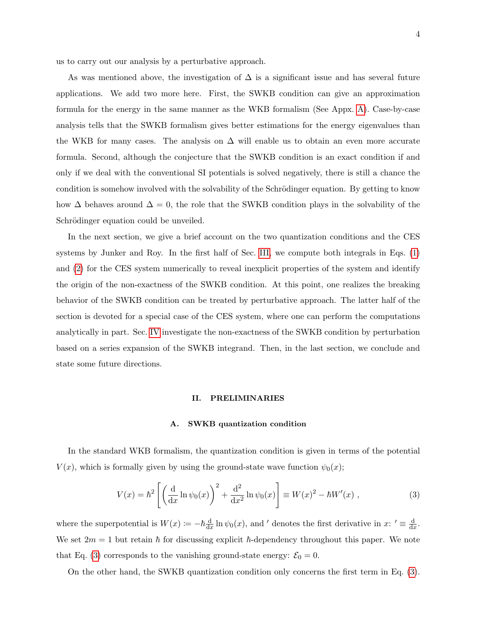us to carry out our analysis by a perturbative approach.

As was mentioned above, the investigation of  $\Delta$  is a significant issue and has several future applications. We add two more here. First, the SWKB condition can give an approximation formula for the energy in the same manner as the WKB formalism (See Appx. [A\)](#page-23-1). Case-by-case analysis tells that the SWKB formalism gives better estimations for the energy eigenvalues than the WKB for many cases. The analysis on  $\Delta$  will enable us to obtain an even more accurate formula. Second, although the conjecture that the SWKB condition is an exact condition if and only if we deal with the conventional SI potentials is solved negatively, there is still a chance the condition is somehow involved with the solvability of the Schrödinger equation. By getting to know how  $\Delta$  behaves around  $\Delta = 0$ , the role that the SWKB condition plays in the solvability of the Schrödinger equation could be unveiled.

In the next section, we give a brief account on the two quantization conditions and the CES systems by Junker and Roy. In the first half of Sec. [III,](#page-9-0) we compute both integrals in Eqs. [\(1\)](#page-1-1) and [\(2\)](#page-1-0) for the CES system numerically to reveal inexplicit properties of the system and identify the origin of the non-exactness of the SWKB condition. At this point, one realizes the breaking behavior of the SWKB condition can be treated by perturbative approach. The latter half of the section is devoted for a special case of the CES system, where one can perform the computations analytically in part. Sec. [IV](#page-18-0) investigate the non-exactness of the SWKB condition by perturbation based on a series expansion of the SWKB integrand. Then, in the last section, we conclude and state some future directions.

## <span id="page-3-0"></span>II. PRELIMINARIES

### A. SWKB quantization condition

In the standard WKB formalism, the quantization condition is given in terms of the potential  $V(x)$ , which is formally given by using the ground-state wave function  $\psi_0(x)$ ;

$$
V(x) = \hbar^2 \left[ \left( \frac{d}{dx} \ln \psi_0(x) \right)^2 + \frac{d^2}{dx^2} \ln \psi_0(x) \right] \equiv W(x)^2 - \hbar W'(x) , \qquad (3)
$$

where the superpotential is  $W(x) \coloneqq -\hbar \frac{d}{dx}$  $\frac{d}{dx} \ln \psi_0(x)$ , and ' denotes the first derivative in x: '  $\equiv \frac{d}{dx}$  $\frac{\mathrm{d}}{\mathrm{d}x}$ . We set  $2m = 1$  but retain  $\hbar$  for discussing explicit  $\hbar$ -dependency throughout this paper. We note that Eq. [\(3\)](#page-3-0) corresponds to the vanishing ground-state energy:  $\mathcal{E}_0 = 0$ .

On the other hand, the SWKB quantization condition only concerns the first term in Eq. [\(3\)](#page-3-0).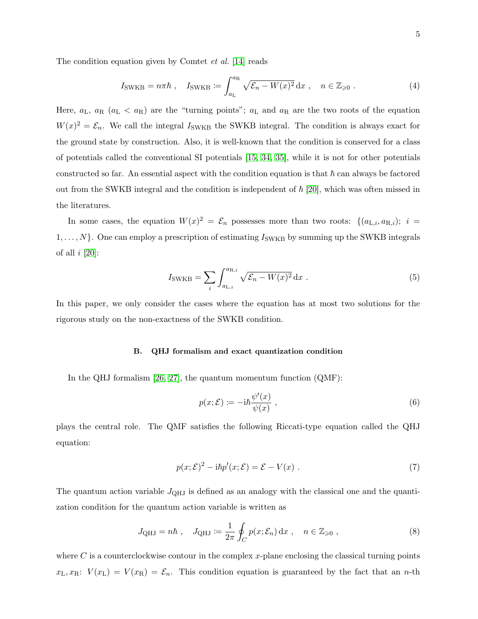The condition equation given by Comtet *et al.* [\[14\]](#page-24-6) reads

<span id="page-4-2"></span>
$$
I_{\text{SWKB}} = n\pi\hbar \, , \quad I_{\text{SWKB}} := \int_{a_{\text{L}}}^{a_{\text{R}}} \sqrt{\mathcal{E}_n - W(x)^2} \, \mathrm{d}x \, , \quad n \in \mathbb{Z}_{\geqslant 0} \, . \tag{4}
$$

Here,  $a_L$ ,  $a_R$  ( $a_L < a_R$ ) are the "turning points";  $a_L$  and  $a_R$  are the two roots of the equation  $W(x)^2 = \mathcal{E}_n$ . We call the integral  $I_{\text{SWKB}}$  the SWKB integral. The condition is always exact for the ground state by construction. Also, it is well-known that the condition is conserved for a class of potentials called the conventional SI potentials [\[15,](#page-24-7) [34,](#page-25-13) [35\]](#page-25-14), while it is not for other potentials constructed so far. An essential aspect with the condition equation is that  $\hbar$  can always be factored out from the SWKB integral and the condition is independent of  $\hbar$  [\[20\]](#page-25-0), which was often missed in the literatures.

In some cases, the equation  $W(x)^2 = \mathcal{E}_n$  possesses more than two roots:  $\{(a_{\text{L},i}, a_{\text{R},i}); i =$  $1, \ldots, N$ . One can employ a prescription of estimating  $I_{\text{SWKB}}$  by summing up the SWKB integrals of all  $i$  [\[20\]](#page-25-0):

$$
I_{\text{SWKB}} = \sum_{i} \int_{a_{\text{L},i}}^{a_{\text{R},i}} \sqrt{\mathcal{E}_n - W(x)^2} \, \mathrm{d}x \,. \tag{5}
$$

In this paper, we only consider the cases where the equation has at most two solutions for the rigorous study on the non-exactness of the SWKB condition.

## B. QHJ formalism and exact quantization condition

In the QHJ formalism [\[26,](#page-25-6) [27\]](#page-25-7), the quantum momentum function (QMF):

$$
p(x; \mathcal{E}) \coloneqq -i\hbar \frac{\psi'(x)}{\psi(x)}, \qquad (6)
$$

<span id="page-4-0"></span>plays the central role. The QMF satisfies the following Riccati-type equation called the QHJ equation:

<span id="page-4-1"></span>
$$
p(x; \mathcal{E})^2 - i\hbar p'(x; \mathcal{E}) = \mathcal{E} - V(x) . \tag{7}
$$

The quantum action variable  $J_{QHJ}$  is defined as an analogy with the classical one and the quantization condition for the quantum action variable is written as

$$
J_{\text{QHJ}} = n\hbar \, , \quad J_{\text{QHJ}} := \frac{1}{2\pi} \oint_C p(x; \mathcal{E}_n) \, dx \, , \quad n \in \mathbb{Z}_{\geq 0} \, , \tag{8}
$$

where C is a counterclockwise contour in the complex x-plane enclosing the classical turning points  $x_L, x_R: V(x_L) = V(x_R) = \mathcal{E}_n$ . This condition equation is guaranteed by the fact that an *n*-th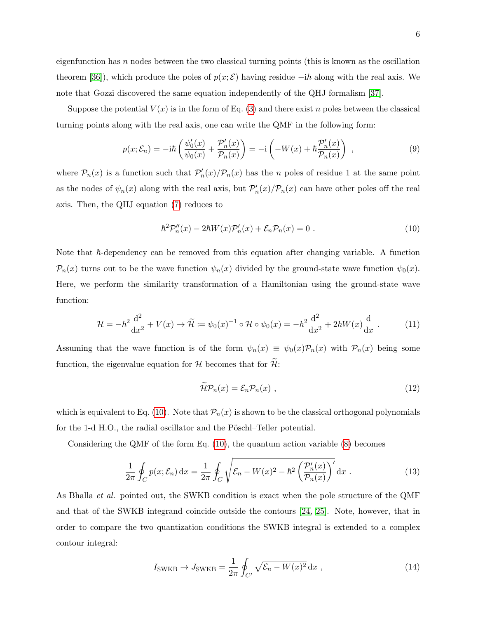eigenfunction has  $n$  nodes between the two classical turning points (this is known as the oscillation theorem [\[36\]](#page-25-15)), which produce the poles of  $p(x; \mathcal{E})$  having residue  $-i\hbar$  along with the real axis. We note that Gozzi discovered the same equation independently of the QHJ formalism [\[37\]](#page-25-16).

Suppose the potential  $V(x)$  is in the form of Eq. [\(3\)](#page-3-0) and there exist n poles between the classical turning points along with the real axis, one can write the QMF in the following form:

$$
p(x; \mathcal{E}_n) = -i\hbar \left( \frac{\psi_0'(x)}{\psi_0(x)} + \frac{\mathcal{P}_n'(x)}{\mathcal{P}_n(x)} \right) = -i \left( -W(x) + \hbar \frac{\mathcal{P}_n'(x)}{\mathcal{P}_n(x)} \right) , \qquad (9)
$$

where  $P_n(x)$  is a function such that  $P'_n(x)/P_n(x)$  has the n poles of residue 1 at the same point as the nodes of  $\psi_n(x)$  along with the real axis, but  $\mathcal{P}'_n(x)/\mathcal{P}_n(x)$  can have other poles off the real axis. Then, the QHJ equation [\(7\)](#page-4-0) reduces to

<span id="page-5-0"></span>
$$
\hbar^2 \mathcal{P}_n''(x) - 2\hbar W(x) \mathcal{P}_n'(x) + \mathcal{E}_n \mathcal{P}_n(x) = 0.
$$
 (10)

Note that  $\hbar$ -dependency can be removed from this equation after changing variable. A function  $P_n(x)$  turns out to be the wave function  $\psi_n(x)$  divided by the ground-state wave function  $\psi_0(x)$ . Here, we perform the similarity transformation of a Hamiltonian using the ground-state wave function:

$$
\mathcal{H} = -\hbar^2 \frac{\mathrm{d}^2}{\mathrm{d}x^2} + V(x) \to \widetilde{\mathcal{H}} \coloneqq \psi_0(x)^{-1} \circ \mathcal{H} \circ \psi_0(x) = -\hbar^2 \frac{\mathrm{d}^2}{\mathrm{d}x^2} + 2\hbar W(x) \frac{\mathrm{d}}{\mathrm{d}x} \ . \tag{11}
$$

Assuming that the wave function is of the form  $\psi_n(x) \equiv \psi_0(x) \mathcal{P}_n(x)$  with  $\mathcal{P}_n(x)$  being some function, the eigenvalue equation for  $\mathcal H$  becomes that for  $\mathcal H$ :

$$
\widetilde{\mathcal{H}}\mathcal{P}_n(x) = \mathcal{E}_n \mathcal{P}_n(x) , \qquad (12)
$$

which is equivalent to Eq. [\(10\)](#page-5-0). Note that  $\mathcal{P}_n(x)$  is shown to be the classical orthogonal polynomials for the 1-d H.O., the radial oscillator and the Pöschl–Teller potential.

Considering the QMF of the form Eq. [\(10\)](#page-5-0), the quantum action variable [\(8\)](#page-4-1) becomes

$$
\frac{1}{2\pi} \oint_C p(x; \mathcal{E}_n) dx = \frac{1}{2\pi} \oint_C \sqrt{\mathcal{E}_n - W(x)^2 - \hbar^2 \left(\frac{\mathcal{P}'_n(x)}{\mathcal{P}_n(x)}\right)} dx.
$$
 (13)

As Bhalla et al. pointed out, the SWKB condition is exact when the pole structure of the QMF and that of the SWKB integrand coincide outside the contours [\[24,](#page-25-4) [25\]](#page-25-5). Note, however, that in order to compare the two quantization conditions the SWKB integral is extended to a complex contour integral:

$$
I_{\text{SWKB}} \to J_{\text{SWKB}} = \frac{1}{2\pi} \oint_{C'} \sqrt{\mathcal{E}_n - W(x)^2} \, \mathrm{d}x \;, \tag{14}
$$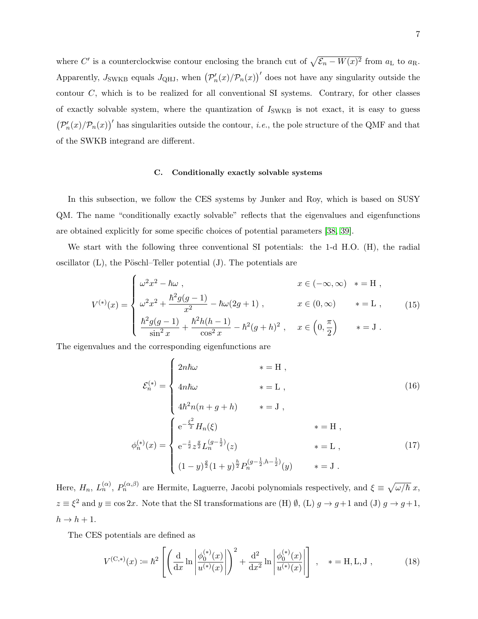where C' is a counterclockwise contour enclosing the branch cut of  $\sqrt{\mathcal{E}_n - W(x)^2}$  from  $a_{\text{L}}$  to  $a_{\text{R}}$ . Apparently,  $J_{\text{SWKB}}$  equals  $J_{\text{QHJ}}$ , when  $(p'_n(x)/p_n(x))'$  does not have any singularity outside the contour C, which is to be realized for all conventional SI systems. Contrary, for other classes of exactly solvable system, where the quantization of  $I_{SWKB}$  is not exact, it is easy to guess  $(\mathcal{P}'_n(x)/\mathcal{P}_n(x))'$  has singularities outside the contour, *i.e.*, the pole structure of the QMF and that of the SWKB integrand are different.

## <span id="page-6-0"></span>C. Conditionally exactly solvable systems

In this subsection, we follow the CES systems by Junker and Roy, which is based on SUSY QM. The name "conditionally exactly solvable" reflects that the eigenvalues and eigenfunctions are obtained explicitly for some specific choices of potential parameters [\[38,](#page-25-17) [39\]](#page-25-18).

We start with the following three conventional SI potentials: the 1-d H.O. (H), the radial oscillator  $(L)$ , the Pöschl–Teller potential  $(J)$ . The potentials are

$$
V^{(*)}(x) = \begin{cases} \omega^2 x^2 - \hbar \omega , & x \in (-\infty, \infty) * = H ,\\ \omega^2 x^2 + \frac{\hbar^2 g(g-1)}{x^2} - \hbar \omega (2g+1) , & x \in (0, \infty) * = L ,\\ \frac{\hbar^2 g(g-1)}{\sin^2 x} + \frac{\hbar^2 h(h-1)}{\cos^2 x} - \hbar^2 (g+h)^2 , & x \in \left(0, \frac{\pi}{2}\right) * = J . \end{cases}
$$
(15)

The eigenvalues and the corresponding eigenfunctions are

<span id="page-6-1"></span>
$$
\mathcal{E}_{n}^{(*)} = \begin{cases}\n2n\hbar\omega & * = \mathcal{H} ,\\
4n\hbar\omega & * = \mathcal{L} ,\\
4\hbar^{2}n(n+g+h) & * = \mathcal{J} ,\\
e^{-\frac{\xi^{2}}{2}}H_{n}(\xi) & * = \mathcal{H} ,\\
e^{-\frac{z}{2}}z^{\frac{g}{2}}L_{n}^{(g-\frac{1}{2})}(z) & * = \mathcal{L} ,\\
(1-y)^{\frac{g}{2}}(1+y)^{\frac{h}{2}}P_{n}^{(g-\frac{1}{2},h-\frac{1}{2})}(y) & * = \mathcal{J} .\n\end{cases}
$$
\n(17)

Here,  $H_n$ ,  $L_n^{(\alpha)}$ ,  $P_n^{(\alpha,\beta)}$  are Hermite, Laguerre, Jacobi polynomials respectively, and  $\xi \equiv \sqrt{\omega/\hbar} x$ ,  $z \equiv \xi^2$  and  $y \equiv \cos 2x$ . Note that the SI transformations are (H)  $\emptyset$ , (L)  $g \to g+1$  and (J)  $g \to g+1$ ,  $h \rightarrow h + 1$ .

The CES potentials are defined as

$$
V^{(\mathcal{C},*)}(x) := \hbar^2 \left[ \left( \frac{\mathrm{d}}{\mathrm{d}x} \ln \left| \frac{\phi_0^{(*)}(x)}{u^{(*)}(x)} \right| \right)^2 + \frac{\mathrm{d}^2}{\mathrm{d}x^2} \ln \left| \frac{\phi_0^{(*)}(x)}{u^{(*)}(x)} \right| \right], \quad * = \mathcal{H}, \mathcal{L}, \mathcal{J},
$$
 (18)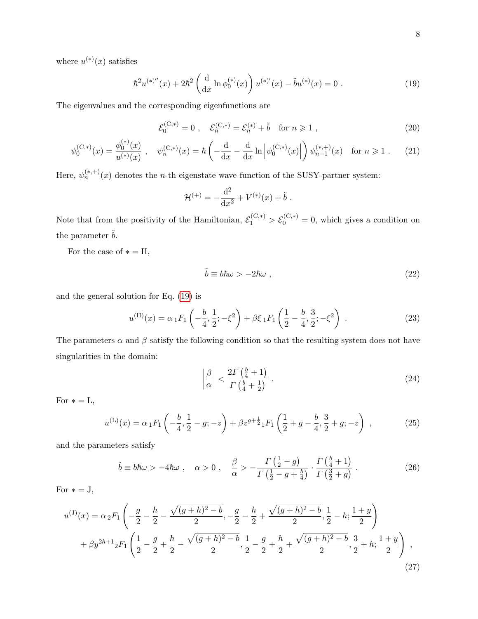where  $u^{(*)}(x)$  satisfies

<span id="page-7-0"></span>
$$
\hbar^2 u^{(*)}''(x) + 2\hbar^2 \left(\frac{\mathrm{d}}{\mathrm{d}x} \ln \phi_0^{(*)}(x)\right) u^{(*)'}(x) - \tilde{b}u^{(*)}(x) = 0. \tag{19}
$$

The eigenvalues and the corresponding eigenfunctions are

$$
\mathcal{E}_0^{(C,*)} = 0 \;, \quad \mathcal{E}_n^{(C,*)} = \mathcal{E}_n^{(*)} + \tilde{b} \quad \text{for } n \geq 1 \;, \tag{20}
$$

$$
\psi_0^{(C,*)}(x) = \frac{\phi_0^{(*)}(x)}{u^{(*)}(x)}, \quad \psi_n^{(C,*)}(x) = \hbar \left( -\frac{d}{dx} - \frac{d}{dx} \ln \left| \psi_0^{(C,*)}(x) \right| \right) \psi_{n-1}^{(*,+)}(x) \quad \text{for } n \ge 1. \tag{21}
$$

Here,  $\psi_n^{(*,+)}(x)$  denotes the *n*-th eigenstate wave function of the SUSY-partner system:

$$
\mathcal{H}^{(+)} = -\frac{\mathrm{d}^2}{\mathrm{d}x^2} + V^{(*)}(x) + \tilde{b}.
$$

Note that from the positivity of the Hamiltonian,  $\mathcal{E}_1^{(C,*)} > \mathcal{E}_0^{(C,*)} = 0$ , which gives a condition on the parameter  $\tilde{b}.$ 

For the case of  $* = H$ ,

<span id="page-7-1"></span>
$$
\tilde{b} \equiv b\hbar\omega > -2\hbar\omega , \qquad (22)
$$

and the general solution for Eq. [\(19\)](#page-7-0) is

<span id="page-7-2"></span>
$$
u^{(\mathrm{H})}(x) = \alpha_1 F_1 \left( -\frac{b}{4}, \frac{1}{2}; -\xi^2 \right) + \beta \xi_1 F_1 \left( \frac{1}{2} - \frac{b}{4}, \frac{3}{2}; -\xi^2 \right) . \tag{23}
$$

The parameters  $\alpha$  and  $\beta$  satisfy the following condition so that the resulting system does not have singularities in the domain:

$$
\left|\frac{\beta}{\alpha}\right| < \frac{2\Gamma\left(\frac{b}{4} + 1\right)}{\Gamma\left(\frac{b}{4} + \frac{1}{2}\right)}\tag{24}
$$

For  $* = L$ ,

$$
u^{(L)}(x) = \alpha_1 F_1 \left( -\frac{b}{4}, \frac{1}{2} - g; -z \right) + \beta z^{g + \frac{1}{2}} {}_1F_1 \left( \frac{1}{2} + g - \frac{b}{4}, \frac{3}{2} + g; -z \right) ,
$$
 (25)

and the parameters satisfy

$$
\tilde{b} \equiv b\hbar\omega > -4\hbar\omega \ , \quad \alpha > 0 \ , \quad \frac{\beta}{\alpha} > -\frac{\Gamma\left(\frac{1}{2} - g\right)}{\Gamma\left(\frac{1}{2} - g + \frac{b}{4}\right)} \cdot \frac{\Gamma\left(\frac{b}{4} + 1\right)}{\Gamma\left(\frac{3}{2} + g\right)} \ . \tag{26}
$$

For  $* = J$ ,

$$
u^{(J)}(x) = \alpha_2 F_1 \left( -\frac{g}{2} - \frac{h}{2} - \frac{\sqrt{(g+h)^2 - b}}{2}, -\frac{g}{2} - \frac{h}{2} + \frac{\sqrt{(g+h)^2 - b}}{2}, \frac{1}{2} - h; \frac{1+y}{2} \right)
$$
  
+  $\beta y^{2h+1} {}_2F_1 \left( \frac{1}{2} - \frac{g}{2} + \frac{h}{2} - \frac{\sqrt{(g+h)^2 - b}}{2}, \frac{1}{2} - \frac{g}{2} + \frac{h}{2} + \frac{\sqrt{(g+h)^2 - b}}{2}, \frac{3}{2} + h; \frac{1+y}{2} \right)$ , (27)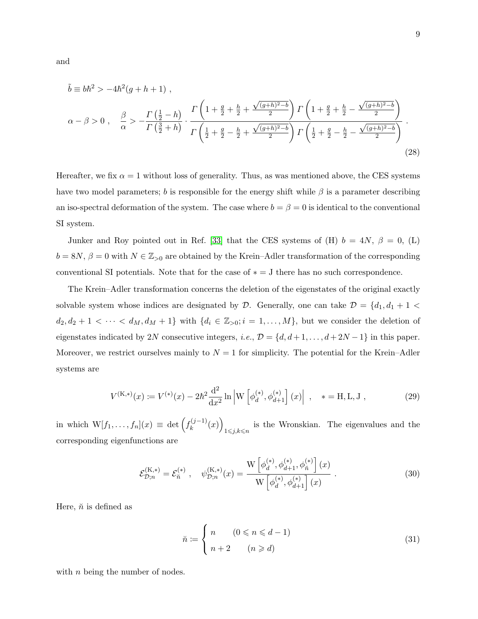and

$$
\tilde{b} \equiv b\hbar^2 > -4\hbar^2(g+h+1) ,
$$
\n
$$
\alpha - \beta > 0 , \quad \frac{\beta}{\alpha} > -\frac{\Gamma(\frac{1}{2} - h)}{\Gamma(\frac{3}{2} + h)} \cdot \frac{\Gamma\left(1 + \frac{g}{2} + \frac{h}{2} + \frac{\sqrt{(g+h)^2 - b}}{2}\right) \Gamma\left(1 + \frac{g}{2} + \frac{h}{2} - \frac{\sqrt{(g+h)^2 - b}}{2}\right)}{\Gamma\left(\frac{1}{2} + \frac{g}{2} - \frac{h}{2} + \frac{\sqrt{(g+h)^2 - b}}{2}\right) \Gamma\left(\frac{1}{2} + \frac{g}{2} - \frac{h}{2} - \frac{\sqrt{(g+h)^2 - b}}{2}\right)}.
$$
\n(28)

Hereafter, we fix  $\alpha = 1$  without loss of generality. Thus, as was mentioned above, the CES systems have two model parameters; b is responsible for the energy shift while  $\beta$  is a parameter describing an iso-spectral deformation of the system. The case where  $b = \beta = 0$  is identical to the conventional SI system.

Junker and Roy pointed out in Ref. [\[33\]](#page-25-12) that the CES systems of (H)  $b = 4N$ ,  $\beta = 0$ , (L)  $b = 8N$ ,  $\beta = 0$  with  $N \in \mathbb{Z}_{\geq 0}$  are obtained by the Krein–Adler transformation of the corresponding conventional SI potentials. Note that for the case of  $* = J$  there has no such correspondence.

The Krein–Adler transformation concerns the deletion of the eigenstates of the original exactly solvable system whose indices are designated by  $D$ . Generally, one can take  $D = \{d_1, d_1 + 1 \leq$  $d_2, d_2 + 1 < \cdots < d_M, d_M + 1$  with  $\{d_i \in \mathbb{Z}_{>0}; i = 1, \ldots, M\}$ , but we consider the deletion of eigenstates indicated by 2N consecutive integers, i.e.,  $\mathcal{D} = \{d, d+1, \ldots, d+2N-1\}$  in this paper. Moreover, we restrict ourselves mainly to  $N = 1$  for simplicity. The potential for the Krein–Adler systems are

$$
V^{(\mathcal{K},*)}(x) \coloneqq V^{(*)}(x) - 2\hbar^2 \frac{\mathrm{d}^2}{\mathrm{d}x^2} \ln \left| \mathcal{W} \left[ \phi_d^{(*)}, \phi_{d+1}^{(*)} \right] (x) \right| , \quad * = \mathcal{H}, \mathcal{L}, \mathcal{J} , \tag{29}
$$

in which  $W[f_1,\ldots,f_n](x) \equiv \det \left(f_k^{(j-1)}\right)$  $\binom{(j-1)}{k}(x)$ is the Wronskian. The eigenvalues and the  $1\leq j,k\leq n$ corresponding eigenfunctions are

$$
\mathcal{E}_{\mathcal{D};n}^{(\mathbf{K},*)} = \mathcal{E}_{\breve{n}}^{(*)} , \quad \psi_{\mathcal{D};n}^{(\mathbf{K},*)}(x) = \frac{\mathbf{W}\left[\phi_d^{(*)}, \phi_{d+1}^{(*)}, \phi_{\breve{n}}^{(*)}\right](x)}{\mathbf{W}\left[\phi_d^{(*)}, \phi_{d+1}^{(*)}\right](x)} . \tag{30}
$$

Here,  $\check{n}$  is defined as

$$
\check{n} := \begin{cases} n & (0 \leqslant n \leqslant d - 1) \\ n + 2 & (n \geqslant d) \end{cases} \tag{31}
$$

with  $n$  being the number of nodes.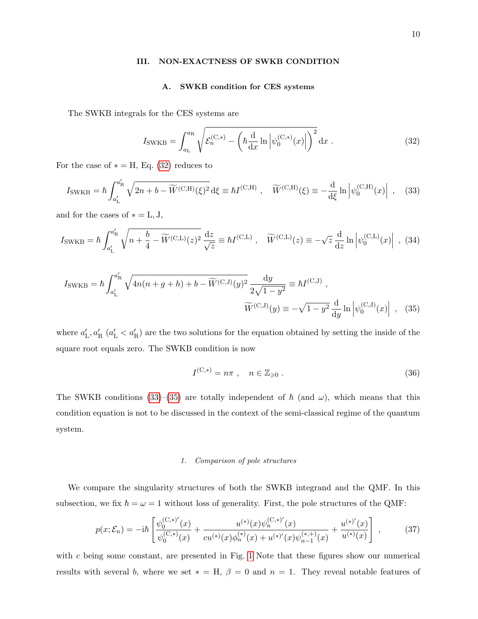#### <span id="page-9-0"></span>III. NON-EXACTNESS OF SWKB CONDITION

## <span id="page-9-1"></span>A. SWKB condition for CES systems

The SWKB integrals for the CES systems are

<span id="page-9-2"></span>
$$
I_{\text{SWKB}} = \int_{a_{\text{L}}}^{a_{\text{R}}} \sqrt{\mathcal{E}_n^{(\text{C},*)} - \left(\hbar \frac{d}{dx} \ln \left| \psi_0^{(\text{C},*)}(x) \right| \right)^2} dx \tag{32}
$$

For the case of  $* = H$ , Eq. [\(32\)](#page-9-1) reduces to

$$
I_{\text{SWKB}} = \hbar \int_{a'_{\text{L}}}^{a'_{\text{R}}} \sqrt{2n + b - \widetilde{W}^{(\text{C,H})}(\xi)^2} \, \mathrm{d}\xi \equiv \hbar I^{(\text{C,H})} \;, \quad \widetilde{W}^{(\text{C,H})}(\xi) \equiv -\frac{\mathrm{d}}{\mathrm{d}\xi} \ln \left| \psi_0^{(\text{C,H})}(x) \right| \;, \tag{33}
$$

and for the cases of  $* = L, J,$ 

$$
I_{\text{SWKB}} = \hbar \int_{a'_{\text{L}}}^{a'_{\text{R}}} \sqrt{n + \frac{b}{4} - \widetilde{W}^{(\text{C},\text{L})}(z)^2} \frac{\mathrm{d}z}{\sqrt{z}} \equiv \hbar I^{(\text{C},\text{L})} \,, \quad \widetilde{W}^{(\text{C},\text{L})}(z) \equiv -\sqrt{z} \frac{\mathrm{d}}{\mathrm{d}z} \ln \left| \psi_0^{(\text{C},\text{L})}(x) \right| \,, \tag{34}
$$

$$
I_{\text{SWKB}} = \hbar \int_{a'_{\text{L}}}^{a'_{\text{R}}} \sqrt{4n(n+g+h)+b-\widetilde{W}^{(\text{C},\text{J})}(y)^2} \frac{dy}{2\sqrt{1-y^2}} \equiv \hbar I^{(\text{C},\text{J})},
$$

$$
\widetilde{W}^{(\text{C},\text{J})}(y) \equiv -\sqrt{1-y^2} \frac{d}{dy} \ln \left| \psi_0^{(\text{C},\text{J})}(x) \right| , \quad (35)
$$

where  $a'_{\rm L}, a'_{\rm R}$   $(a'_{\rm L} < a'_{\rm R})$  are the two solutions for the equation obtained by setting the inside of the square root equals zero. The SWKB condition is now

<span id="page-9-4"></span><span id="page-9-3"></span>
$$
I^{(\mathcal{C},*)} = n\pi \;, \quad n \in \mathbb{Z}_{\geqslant 0} \;.
$$

The SWKB conditions [\(33\)](#page-9-2)–[\(35\)](#page-9-3) are totally independent of  $\hbar$  (and  $\omega$ ), which means that this condition equation is not to be discussed in the context of the semi-classical regime of the quantum system.

#### 1. Comparison of pole structures

We compare the singularity structures of both the SWKB integrand and the QMF. In this subsection, we fix  $\hbar = \omega = 1$  without loss of generality. First, the pole structures of the QMF:

$$
p(x; \mathcal{E}_n) = -i\hbar \left[ \frac{\psi_0^{(C,*)'}(x)}{\psi_0^{(C,*)}(x)} + \frac{u^{(*)}(x)\psi_n^{(C,*)'}(x)}{cu^{(*)}(x)\phi_n^{(*)}(x) + u^{(*)'}(x)\psi_{n-1}^{(*,+)}(x)} + \frac{u^{(*)'}(x)}{u^{(*)}(x)} \right],
$$
(37)

with  $c$  being some constant, are presented in Fig. [1](#page-10-0) Note that these figures show our numerical results with several b, where we set  $* = H$ ,  $\beta = 0$  and  $n = 1$ . They reveal notable features of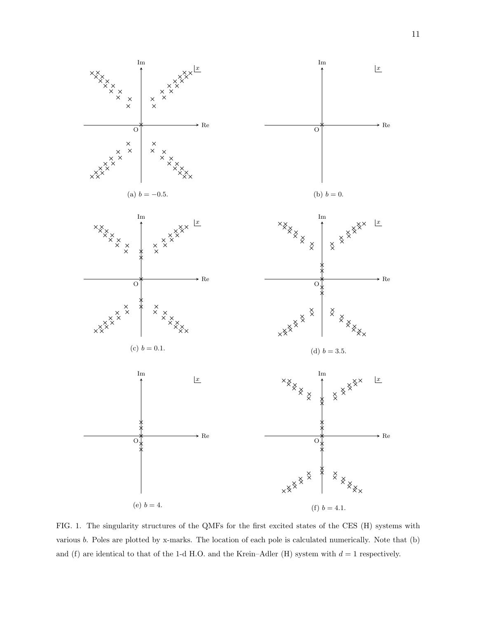<span id="page-10-3"></span><span id="page-10-2"></span><span id="page-10-1"></span>

<span id="page-10-5"></span><span id="page-10-4"></span><span id="page-10-0"></span>FIG. 1. The singularity structures of the QMFs for the first excited states of the CES (H) systems with various b. Poles are plotted by x-marks. The location of each pole is calculated numerically. Note that (b) and (f) are identical to that of the 1-d H.O. and the Krein–Adler (H) system with  $d = 1$  respectively.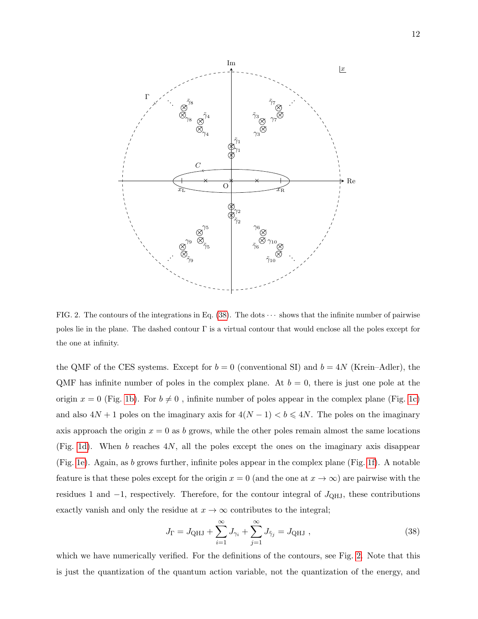

<span id="page-11-1"></span>FIG. 2. The contours of the integrations in Eq.  $(38)$ . The dots  $\cdots$  shows that the infinite number of pairwise poles lie in the plane. The dashed contour  $\Gamma$  is a virtual contour that would enclose all the poles except for the one at infinity.

the QMF of the CES systems. Except for  $b = 0$  (conventional SI) and  $b = 4N$  (Krein–Adler), the QMF has infinite number of poles in the complex plane. At  $b = 0$ , there is just one pole at the origin  $x = 0$  (Fig. [1b\)](#page-10-1). For  $b \neq 0$ , infinite number of poles appear in the complex plane (Fig. [1c\)](#page-10-2) and also  $4N + 1$  poles on the imaginary axis for  $4(N - 1) < b \leq 4N$ . The poles on the imaginary axis approach the origin  $x = 0$  as b grows, while the other poles remain almost the same locations (Fig. [1d\)](#page-10-3). When b reaches  $4N$ , all the poles except the ones on the imaginary axis disappear (Fig. [1e\)](#page-10-4). Again, as b grows further, infinite poles appear in the complex plane (Fig. [1f\)](#page-10-5). A notable feature is that these poles except for the origin  $x = 0$  (and the one at  $x \to \infty$ ) are pairwise with the residues 1 and  $-1$ , respectively. Therefore, for the contour integral of  $J_{QHJ}$ , these contributions exactly vanish and only the residue at  $x \to \infty$  contributes to the integral;

<span id="page-11-0"></span>
$$
J_{\Gamma} = J_{\text{QHJ}} + \sum_{i=1}^{\infty} J_{\gamma_i} + \sum_{j=1}^{\infty} J_{\tilde{\gamma}_j} = J_{\text{QHJ}} ,
$$
 (38)

which we have numerically verified. For the definitions of the contours, see Fig. [2.](#page-11-1) Note that this is just the quantization of the quantum action variable, not the quantization of the energy, and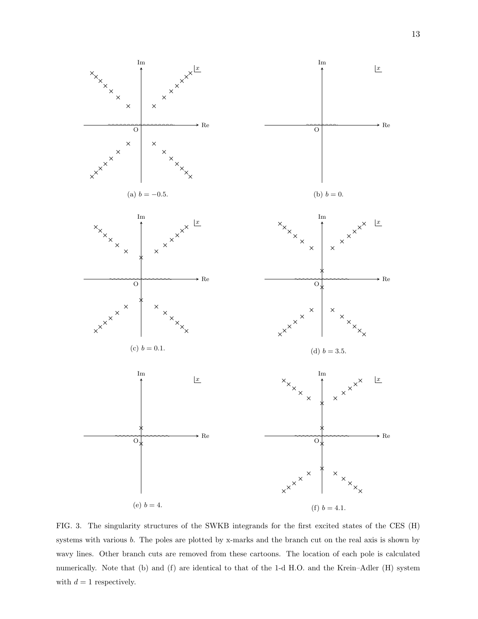

<span id="page-12-0"></span>FIG. 3. The singularity structures of the SWKB integrands for the first excited states of the CES (H) systems with various b. The poles are plotted by x-marks and the branch cut on the real axis is shown by wavy lines. Other branch cuts are removed from these cartoons. The location of each pole is calculated numerically. Note that (b) and (f) are identical to that of the 1-d H.O. and the Krein–Adler (H) system with  $d = 1$  respectively.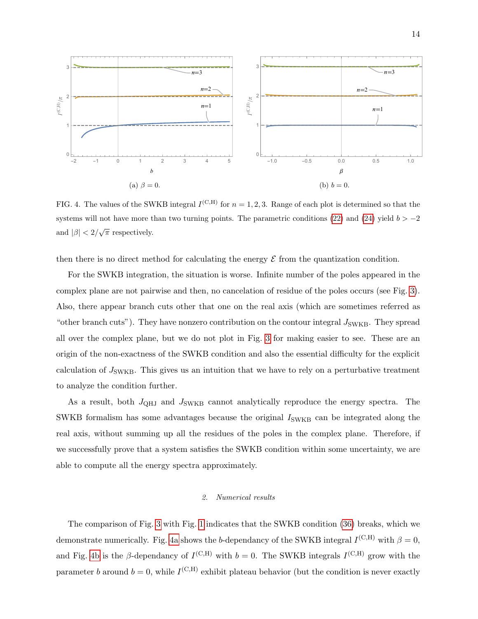<span id="page-13-1"></span><span id="page-13-0"></span>

<span id="page-13-2"></span>FIG. 4. The values of the SWKB integral  $I^{(C,H)}$  for  $n = 1, 2, 3$ . Range of each plot is determined so that the systems will not have more than two turning points. The parametric conditions [\(22\)](#page-7-1) and [\(24\)](#page-7-2) yield  $b > -2$ and  $|\beta| < 2/\sqrt{\pi}$  respectively.

then there is no direct method for calculating the energy  $\mathcal E$  from the quantization condition.

For the SWKB integration, the situation is worse. Infinite number of the poles appeared in the complex plane are not pairwise and then, no cancelation of residue of the poles occurs (see Fig. [3\)](#page-12-0). Also, there appear branch cuts other that one on the real axis (which are sometimes referred as "other branch cuts"). They have nonzero contribution on the contour integral  $J_{SWKB}$ . They spread all over the complex plane, but we do not plot in Fig. [3](#page-12-0) for making easier to see. These are an origin of the non-exactness of the SWKB condition and also the essential difficulty for the explicit calculation of  $J_{SWKB}$ . This gives us an intuition that we have to rely on a perturbative treatment to analyze the condition further.

As a result, both  $J_{QHJ}$  and  $J_{SWKB}$  cannot analytically reproduce the energy spectra. The SWKB formalism has some advantages because the original  $I_{\text{SWKB}}$  can be integrated along the real axis, without summing up all the residues of the poles in the complex plane. Therefore, if we successfully prove that a system satisfies the SWKB condition within some uncertainty, we are able to compute all the energy spectra approximately.

## 2. Numerical results

The comparison of Fig. [3](#page-12-0) with Fig. [1](#page-10-0) indicates that the SWKB condition [\(36\)](#page-9-4) breaks, which we demonstrate numerically. Fig. [4a](#page-13-0) shows the b-dependancy of the SWKB integral  $I^{\rm (C,H)}$  with  $\beta = 0$ , and Fig. [4b](#page-13-1) is the β-dependancy of  $I^{(C,H)}$  with  $b = 0$ . The SWKB integrals  $I^{(C,H)}$  grow with the parameter b around  $b = 0$ , while  $I^{\text{(C,H)}}$  exhibit plateau behavior (but the condition is never exactly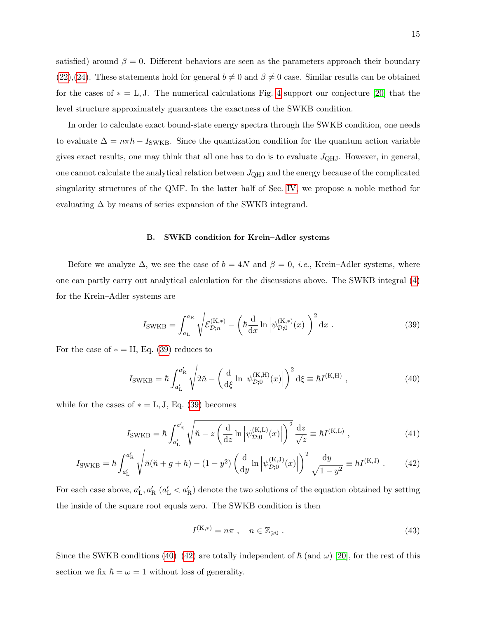satisfied) around  $\beta = 0$ . Different behaviors are seen as the parameters approach their boundary [\(22\)](#page-7-1),[\(24\)](#page-7-2). These statements hold for general  $b \neq 0$  and  $\beta \neq 0$  case. Similar results can be obtained for the cases of  $* = L, J$ . The numerical calculations Fig. [4](#page-13-2) support our conjecture [\[20\]](#page-25-0) that the level structure approximately guarantees the exactness of the SWKB condition.

In order to calculate exact bound-state energy spectra through the SWKB condition, one needs to evaluate  $\Delta = n\pi\hbar - I_{SWKB}$ . Since the quantization condition for the quantum action variable gives exact results, one may think that all one has to do is to evaluate  $J_{QHJ}$ . However, in general, one cannot calculate the analytical relation between  $J_{QHJ}$  and the energy because of the complicated singularity structures of the QMF. In the latter half of Sec. [IV,](#page-18-0) we propose a noble method for evaluating  $\Delta$  by means of series expansion of the SWKB integrand.

#### B. SWKB condition for Krein–Adler systems

Before we analyze  $\Delta$ , we see the case of  $b = 4N$  and  $\beta = 0$ , *i.e.*, Krein–Adler systems, where one can partly carry out analytical calculation for the discussions above. The SWKB integral [\(4\)](#page-4-2) for the Krein–Adler systems are

<span id="page-14-1"></span><span id="page-14-0"></span>
$$
I_{\text{SWKB}} = \int_{a_{\text{L}}}^{a_{\text{R}}} \sqrt{\mathcal{E}_{\mathcal{D};n}^{(\text{K},*)} - \left(\hbar \frac{d}{dx} \ln \left| \psi_{\mathcal{D};0}^{(\text{K},*)}(x) \right| \right)^2} dx \ . \tag{39}
$$

For the case of  $* = H$ , Eq. [\(39\)](#page-14-0) reduces to

$$
I_{\text{SWKB}} = \hbar \int_{a'_{L}}^{a'_{R}} \sqrt{2\tilde{n} - \left(\frac{\mathrm{d}}{\mathrm{d}\xi} \ln \left| \psi_{D;0}^{(K,H)}(x) \right| \right)^{2}} \, \mathrm{d}\xi \equiv \hbar I^{(K,H)} \;, \tag{40}
$$

while for the cases of  $* = L, J, Eq. (39)$  $* = L, J, Eq. (39)$  becomes

$$
I_{\text{SWKB}} = \hbar \int_{a'_{\text{L}}}^{a'_{\text{R}}} \sqrt{\breve{n} - z \left( \frac{\mathrm{d}}{\mathrm{d}z} \ln \left| \psi_{\mathcal{D};0}^{(\text{K,L})}(x) \right| \right)^2} \frac{\mathrm{d}z}{\sqrt{z}} \equiv \hbar I^{(\text{K,L})} , \qquad (41)
$$

$$
I_{\text{SWKB}} = \hbar \int_{a'_{\text{L}}}^{a'_{\text{R}}} \sqrt{\breve{n}(\breve{n} + g + h) - (1 - y^2) \left(\frac{\mathrm{d}}{\mathrm{d}y} \ln \left| \psi_{\mathcal{D};0}^{(\text{K},\text{J})}(x) \right| \right)^2} \frac{\mathrm{d}y}{\sqrt{1 - y^2}} \equiv \hbar I^{(\text{K},\text{J})}. \tag{42}
$$

For each case above,  $a'_{\rm L}$ ,  $a'_{\rm R}$  ( $a'_{\rm L} < a'_{\rm R}$ ) denote the two solutions of the equation obtained by setting the inside of the square root equals zero. The SWKB condition is then

<span id="page-14-2"></span>
$$
I^{(K,*)} = n\pi \ , \quad n \in \mathbb{Z}_{\geqslant 0} \ . \tag{43}
$$

Since the SWKB conditions [\(40\)](#page-14-1)–[\(42\)](#page-14-2) are totally independent of  $\hbar$  (and  $\omega$ ) [\[20\]](#page-25-0), for the rest of this section we fix  $\hbar = \omega = 1$  without loss of generality.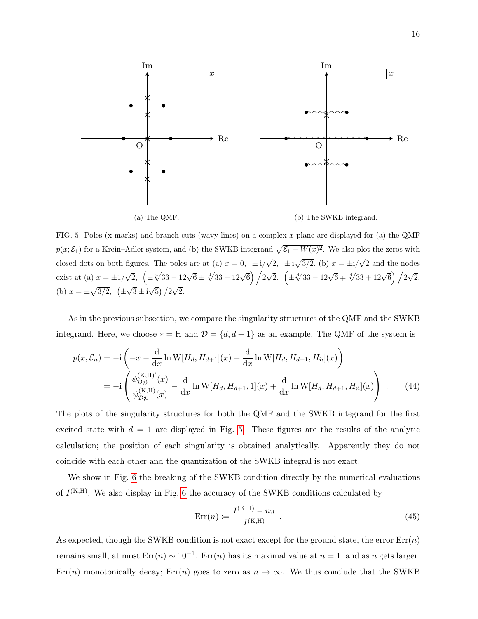

<span id="page-15-0"></span>FIG. 5. Poles (x-marks) and branch cuts (wavy lines) on a complex x-plane are displayed for (a) the QMF  $p(x; \mathcal{E}_1)$  for a Krein–Adler system, and (b) the SWKB integrand  $\sqrt{\mathcal{E}_1 - W(x)^2}$ . We also plot the zeros with closed dots on both figures. The poles are at (a)  $x = 0$ ,  $\pm i/\sqrt{2}$ ,  $\pm i\sqrt{3/2}$ , (b)  $x = \pm i/\sqrt{2}$  and the nodes exist at (a)  $x = \pm 1/\sqrt{2}$ ,  $\left(\pm \sqrt[4]{33 - 12\sqrt{6}} \pm \sqrt[4]{33 + 12\sqrt{6}}\right) / 2\sqrt{2}$ ,  $\left(\pm \sqrt[4]{33 - 12\sqrt{6}} \mp \sqrt[4]{33 + 12\sqrt{6}}\right) / 2\sqrt{2}$ , (b)  $x = \pm \sqrt{3/2}$ ,  $(\pm$  $\sqrt{3} \pm i\sqrt{5}$  /2 $\sqrt{2}$ .

As in the previous subsection, we compare the singularity structures of the QMF and the SWKB integrand. Here, we choose  $* = H$  and  $D = \{d, d + 1\}$  as an example. The QMF of the system is

$$
p(x, \mathcal{E}_n) = -i \left( -x - \frac{d}{dx} \ln W[H_d, H_{d+1}](x) + \frac{d}{dx} \ln W[H_d, H_{d+1}, H_{\tilde{n}}](x) \right)
$$
  
= 
$$
-i \left( \frac{\psi_{\mathcal{D},0}^{(K,H)'}(x)}{\psi_{\mathcal{D},0}^{(K,H)}(x)} - \frac{d}{dx} \ln W[H_d, H_{d+1}, 1](x) + \frac{d}{dx} \ln W[H_d, H_{d+1}, H_{\tilde{n}}](x) \right) .
$$
 (44)

The plots of the singularity structures for both the QMF and the SWKB integrand for the first excited state with  $d = 1$  are displayed in Fig. [5.](#page-15-0) These figures are the results of the analytic calculation; the position of each singularity is obtained analytically. Apparently they do not coincide with each other and the quantization of the SWKB integral is not exact.

We show in Fig. [6](#page-16-0) the breaking of the SWKB condition directly by the numerical evaluations of  $I^{(K,H)}$ . We also display in Fig. [6](#page-16-0) the accuracy of the SWKB conditions calculated by

$$
Err(n) := \frac{I^{(K,H)} - n\pi}{I^{(K,H)}} \,. \tag{45}
$$

As expected, though the SWKB condition is not exact except for the ground state, the error  $Err(n)$ remains small, at most  $Err(n) \sim 10^{-1}$ .  $Err(n)$  has its maximal value at  $n = 1$ , and as n gets larger, Err(n) monotonically decay; Err(n) goes to zero as  $n \to \infty$ . We thus conclude that the SWKB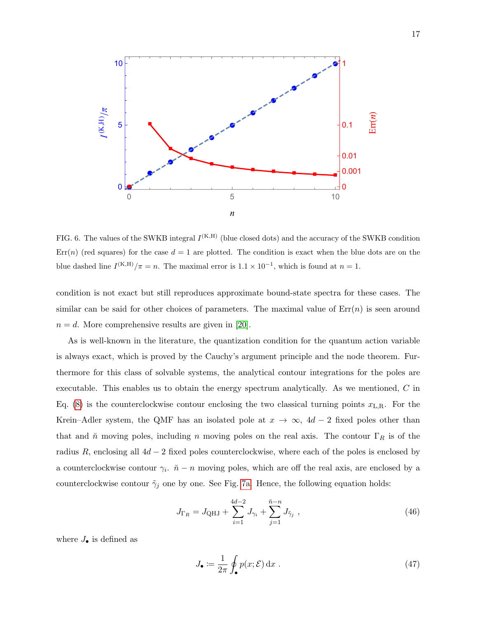

<span id="page-16-0"></span>FIG. 6. The values of the SWKB integral  $I^{(K,H)}$  (blue closed dots) and the accuracy of the SWKB condition  $Err(n)$  (red squares) for the case  $d = 1$  are plotted. The condition is exact when the blue dots are on the blue dashed line  $I^{(K,H)}/\pi = n$ . The maximal error is  $1.1 \times 10^{-1}$ , which is found at  $n = 1$ .

condition is not exact but still reproduces approximate bound-state spectra for these cases. The similar can be said for other choices of parameters. The maximal value of  $Err(n)$  is seen around  $n = d$ . More comprehensive results are given in [\[20\]](#page-25-0).

As is well-known in the literature, the quantization condition for the quantum action variable is always exact, which is proved by the Cauchy's argument principle and the node theorem. Furthermore for this class of solvable systems, the analytical contour integrations for the poles are executable. This enables us to obtain the energy spectrum analytically. As we mentioned, C in Eq. [\(8\)](#page-4-1) is the counterclockwise contour enclosing the two classical turning points  $x_{L,R}$ . For the Krein–Adler system, the QMF has an isolated pole at  $x \to \infty$ ,  $4d - 2$  fixed poles other than that and  $\check{n}$  moving poles, including n moving poles on the real axis. The contour  $\Gamma_R$  is of the radius R, enclosing all  $4d - 2$  fixed poles counterclockwise, where each of the poles is enclosed by a counterclockwise contour  $\gamma_i$ .  $\check{n} - n$  moving poles, which are off the real axis, are enclosed by a counterclockwise contour  $\tilde{\gamma}_j$  one by one. See Fig. [7a.](#page-17-0) Hence, the following equation holds:

$$
J_{\Gamma_R} = J_{\text{QHJ}} + \sum_{i=1}^{4d-2} J_{\gamma_i} + \sum_{j=1}^{\check{n}-n} J_{\tilde{\gamma}_j} \tag{46}
$$

where  $J_{\bullet}$  is defined as

<span id="page-16-1"></span>
$$
J_{\bullet} := \frac{1}{2\pi} \oint_{\bullet} p(x;\mathcal{E}) dx . \tag{47}
$$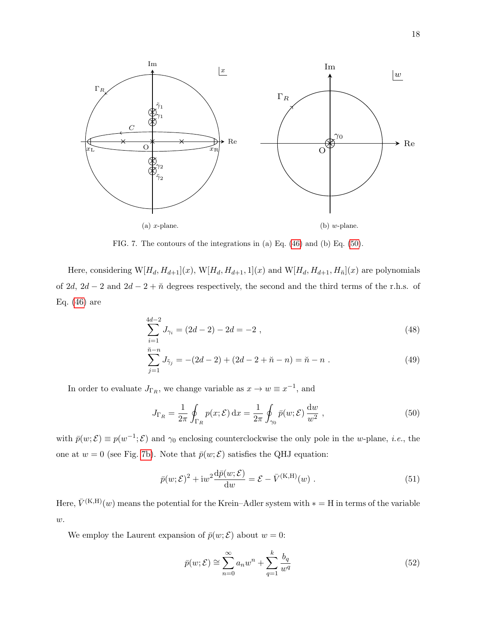<span id="page-17-2"></span><span id="page-17-0"></span>

FIG. 7. The contours of the integrations in (a) Eq. [\(46\)](#page-16-1) and (b) Eq. [\(50\)](#page-17-1).

Here, considering  $W[H_d, H_{d+1}](x)$ ,  $W[H_d, H_{d+1}, 1](x)$  and  $W[H_d, H_{d+1}, H_n](x)$  are polynomials of 2d, 2d − 2 and 2d − 2 +  $\tilde{n}$  degrees respectively, the second and the third terms of the r.h.s. of Eq. [\(46\)](#page-16-1) are

$$
\sum_{i=1}^{4d-2} J_{\gamma_i} = (2d-2) - 2d = -2 , \qquad (48)
$$

$$
\sum_{j=1}^{\tilde{n}-n} J_{\tilde{\gamma}_j} = -(2d-2) + (2d - 2 + \tilde{n} - n) = \tilde{n} - n . \tag{49}
$$

In order to evaluate  $J_{\Gamma_R}$ , we change variable as  $x \to w \equiv x^{-1}$ , and

<span id="page-17-1"></span>
$$
J_{\Gamma_R} = \frac{1}{2\pi} \oint_{\Gamma_R} p(x;\mathcal{E}) dx = \frac{1}{2\pi} \oint_{\gamma_0} \bar{p}(w;\mathcal{E}) \frac{dw}{w^2}, \qquad (50)
$$

with  $\bar{p}(w;\mathcal{E}) \equiv p(w^{-1}; \mathcal{E})$  and  $\gamma_0$  enclosing counterclockwise the only pole in the w-plane, *i.e.*, the one at  $w = 0$  (see Fig. [7b\)](#page-17-2). Note that  $\bar{p}(w; \mathcal{E})$  satisfies the QHJ equation:

<span id="page-17-3"></span>
$$
\bar{p}(w;\mathcal{E})^2 + \mathrm{i}w^2 \frac{\mathrm{d}\bar{p}(w;\mathcal{E})}{\mathrm{d}w} = \mathcal{E} - \bar{V}^{(\mathrm{K},\mathrm{H})}(w) \ . \tag{51}
$$

Here,  $\bar{V}^{(K,H)}(w)$  means the potential for the Krein–Adler system with  $* = H$  in terms of the variable  $\boldsymbol{w}.$ 

We employ the Laurent expansion of  $\bar{p}(w; \mathcal{E})$  about  $w = 0$ :

$$
\bar{p}(w;\mathcal{E}) \cong \sum_{n=0}^{\infty} a_n w^n + \sum_{q=1}^{k} \frac{b_q}{w^q}
$$
\n(52)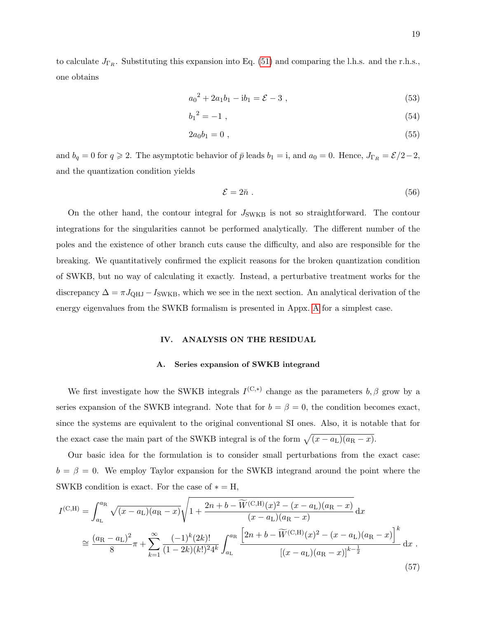to calculate  $J_{\Gamma_R}$ . Substituting this expansion into Eq. [\(51\)](#page-17-3) and comparing the l.h.s. and the r.h.s., one obtains

$$
a_0^2 + 2a_1b_1 - ib_1 = \mathcal{E} - 3 \tag{53}
$$

$$
b_1{}^2 = -1 \tag{54}
$$

$$
2a_0b_1 = 0 \t{55}
$$

and  $b_q = 0$  for  $q \ge 2$ . The asymptotic behavior of  $\bar{p}$  leads  $b_1 = i$ , and  $a_0 = 0$ . Hence,  $J_{\Gamma_R} = \mathcal{E}/2 - 2$ , and the quantization condition yields

$$
\mathcal{E} = 2\ddot{n} \tag{56}
$$

On the other hand, the contour integral for  $J_{SWKB}$  is not so straightforward. The contour integrations for the singularities cannot be performed analytically. The different number of the poles and the existence of other branch cuts cause the difficulty, and also are responsible for the breaking. We quantitatively confirmed the explicit reasons for the broken quantization condition of SWKB, but no way of calculating it exactly. Instead, a perturbative treatment works for the discrepancy  $\Delta = \pi J_{\text{QHJ}} - I_{\text{SWKB}}$ , which we see in the next section. An analytical derivation of the energy eigenvalues from the SWKB formalism is presented in Appx. [A](#page-23-1) for a simplest case.

## <span id="page-18-0"></span>IV. ANALYSIS ON THE RESIDUAL

### <span id="page-18-1"></span>A. Series expansion of SWKB integrand

We first investigate how the SWKB integrals  $I^{(C,*)}$  change as the parameters  $b, \beta$  grow by a series expansion of the SWKB integrand. Note that for  $b = \beta = 0$ , the condition becomes exact, since the systems are equivalent to the original conventional SI ones. Also, it is notable that for the exact case the main part of the SWKB integral is of the form  $\sqrt{(x - a_L)(a_R - x)}$ .

Our basic idea for the formulation is to consider small perturbations from the exact case:  $b = \beta = 0$ . We employ Taylor expansion for the SWKB integrand around the point where the SWKB condition is exact. For the case of  $* = H$ ,

$$
I^{(C,H)} = \int_{a_L}^{a_R} \sqrt{(x - a_L)(a_R - x)} \sqrt{1 + \frac{2n + b - \widetilde{W}^{(C,H)}(x)^2 - (x - a_L)(a_R - x)}{(x - a_L)(a_R - x)}} dx
$$
  
\n
$$
\approx \frac{(a_R - a_L)^2}{8} \pi + \sum_{k=1}^{\infty} \frac{(-1)^k (2k)!}{(1 - 2k)(k!)^2 4^k} \int_{a_L}^{a_R} \frac{\left[2n + b - \widetilde{W}^{(C,H)}(x)^2 - (x - a_L)(a_R - x)\right]^k}{\left[(x - a_L)(a_R - x)\right]^{k - \frac{1}{2}}} dx
$$
\n(57)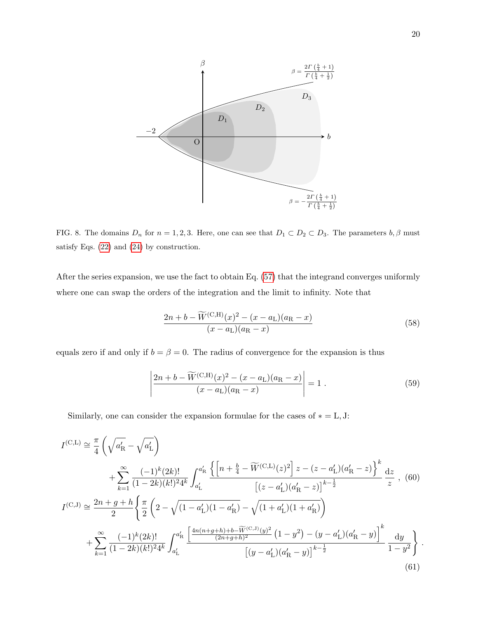

<span id="page-19-3"></span>FIG. 8. The domains  $D_n$  for  $n = 1, 2, 3$ . Here, one can see that  $D_1 \subset D_2 \subset D_3$ . The parameters  $b, \beta$  must satisfy Eqs. [\(22\)](#page-7-1) and [\(24\)](#page-7-2) by construction.

After the series expansion, we use the fact to obtain Eq. [\(57\)](#page-18-1) that the integrand converges uniformly where one can swap the orders of the integration and the limit to infinity. Note that

<span id="page-19-2"></span>
$$
\frac{2n + b - W^{(C,H)}(x)^{2} - (x - a_{L})(a_{R} - x)}{(x - a_{L})(a_{R} - x)}
$$
(58)

equals zero if and only if  $b = \beta = 0$ . The radius of convergence for the expansion is thus

<span id="page-19-1"></span><span id="page-19-0"></span>
$$
\left| \frac{2n + b - \widetilde{W}^{(\text{C,H})}(x)^2 - (x - a_L)(a_R - x)}{(x - a_L)(a_R - x)} \right| = 1.
$$
\n(59)

Similarly, one can consider the expansion formulae for the cases of  $* = L, J$ :

$$
I^{(\text{C},\text{L})} \cong \frac{\pi}{4} \left( \sqrt{a_{\text{R}}'} - \sqrt{a_{\text{L}}'} \right)
$$
  
+ 
$$
\sum_{k=1}^{\infty} \frac{(-1)^k (2k)!}{(1 - 2k)(k!)^2 4^k} \int_{a_{\text{L}}'}^{a_{\text{R}}'} \frac{\left\{ \left[ n + \frac{b}{4} - \widetilde{W}^{(\text{C},\text{L})}(z)^2 \right] z - (z - a_{\text{L}}')(a_{\text{R}}' - z) \right\}^k}{\left[ (z - a_{\text{L}}')(a_{\text{R}}' - z) \right]^{k - \frac{1}{2}}} \frac{dz}{z} , (60)
$$
  

$$
I^{(\text{C},\text{J})} \cong \frac{2n + g + h}{2} \left\{ \frac{\pi}{2} \left( 2 - \sqrt{(1 - a_{\text{L}}')(1 - a_{\text{R}}') - \sqrt{(1 + a_{\text{L}}')(1 + a_{\text{R}}')} } \right) + \sum_{k=1}^{\infty} \frac{(-1)^k (2k)!}{(1 - 2k)(k!)^2 4^k} \int_{a_{\text{L}}'}^{a_{\text{R}}'} \frac{\left[ \frac{4n(n + g + h) + b - \widetilde{W}^{(\text{C},\text{J})}(y)^2}{(2n + g + h)^2} (1 - y^2) - (y - a_{\text{L}}')(a_{\text{R}}' - y) \right]^k}{\left[ (y - a_{\text{L}}')(a_{\text{R}}' - y) \right]^{k - \frac{1}{2}}} \frac{dy}{1 - y^2} \right\} .
$$
  
(61)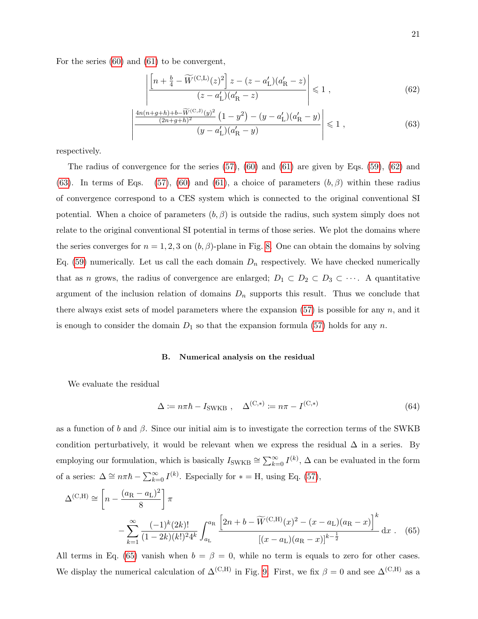For the series [\(60\)](#page-19-0) and [\(61\)](#page-19-1) to be convergent,

<span id="page-20-1"></span><span id="page-20-0"></span>
$$
\left| \frac{\left[ n + \frac{b}{4} - \widetilde{W}^{(\mathcal{C},\mathcal{L})}(z)^2 \right] z - (z - a'_{\mathcal{L}})(a'_{\mathcal{R}} - z)}{(z - a'_{\mathcal{L}})(a'_{\mathcal{R}} - z)} \right| \leq 1 , \tag{62}
$$

$$
\left| \frac{\frac{4n(n+g+h)+b-\widetilde{W}^{(\mathcal{C},J)}(y)^2}{(2n+g+h)^2} \left(1-y^2\right) - (y-a'_L)(a'_R-y)}{(y-a'_L)(a'_R-y)} \right| \leq 1 , \tag{63}
$$

respectively.

The radius of convergence for the series  $(57)$ ,  $(60)$  and  $(61)$  are given by Eqs.  $(59)$ ,  $(62)$  and [\(63\)](#page-20-1). In terms of Eqs. [\(57\)](#page-18-1), [\(60\)](#page-19-0) and [\(61\)](#page-19-1), a choice of parameters  $(b, \beta)$  within these radius of convergence correspond to a CES system which is connected to the original conventional SI potential. When a choice of parameters  $(b, \beta)$  is outside the radius, such system simply does not relate to the original conventional SI potential in terms of those series. We plot the domains where the series converges for  $n = 1, 2, 3$  on  $(b, \beta)$ -plane in Fig. [8.](#page-19-3) One can obtain the domains by solving Eq. [\(59\)](#page-19-2) numerically. Let us call the each domain  $D_n$  respectively. We have checked numerically that as n grows, the radius of convergence are enlarged;  $D_1 \subset D_2 \subset D_3 \subset \cdots$ . A quantitative argument of the inclusion relation of domains  $D_n$  supports this result. Thus we conclude that there always exist sets of model parameters where the expansion  $(57)$  is possible for any n, and it is enough to consider the domain  $D_1$  so that the expansion formula [\(57\)](#page-18-1) holds for any n.

## B. Numerical analysis on the residual

We evaluate the residual

<span id="page-20-2"></span>
$$
\Delta := n\pi\hbar - I_{\text{SWKB}} , \quad \Delta^{(C,*)} := n\pi - I^{(C,*)}
$$
\n(64)

as a function of b and  $\beta$ . Since our initial aim is to investigate the correction terms of the SWKB condition perturbatively, it would be relevant when we express the residual  $\Delta$  in a series. By employing our formulation, which is basically  $I_{\text{SWKB}} \cong \sum_{k=0}^{\infty} I^{(k)}$ ,  $\Delta$  can be evaluated in the form of a series:  $\Delta \cong n\pi\hbar - \sum_{k=0}^{\infty} I^{(k)}$ . Especially for  $* =$  H, using Eq. [\(57\)](#page-18-1),

$$
\Delta^{(C,H)} \cong \left[ n - \frac{(a_R - a_L)^2}{8} \right] \pi
$$
  
 
$$
- \sum_{k=1}^{\infty} \frac{(-1)^k (2k)!}{(1 - 2k)(k!)^2 4^k} \int_{a_L}^{a_R} \frac{\left[ 2n + b - \widetilde{W}^{(C,H)}(x)^2 - (x - a_L)(a_R - x) \right]^k}{\left[ (x - a_L)(a_R - x) \right]^{k - \frac{1}{2}}} dx
$$
 (65)

All terms in Eq. [\(65\)](#page-20-2) vanish when  $b = \beta = 0$ , while no term is equals to zero for other cases. We display the numerical calculation of  $\Delta^{(C,H)}$  in Fig. [9.](#page-21-0) First, we fix  $\beta = 0$  and see  $\Delta^{(C,H)}$  as a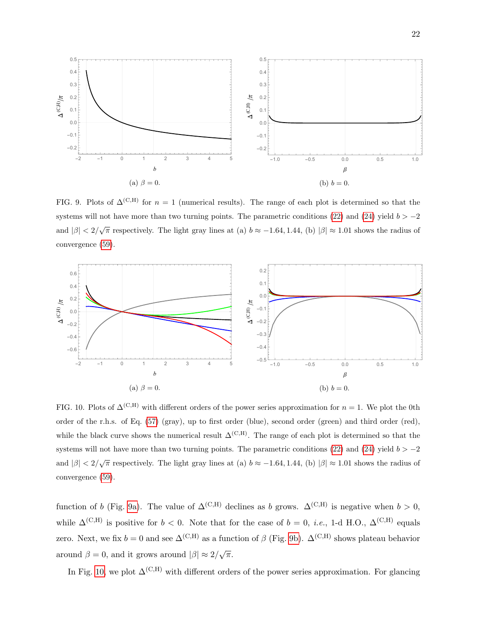<span id="page-21-2"></span><span id="page-21-1"></span>

<span id="page-21-0"></span>FIG. 9. Plots of  $\Delta^{(C,H)}$  for  $n = 1$  (numerical results). The range of each plot is determined so that the systems will not have more than two turning points. The parametric conditions [\(22\)](#page-7-1) and [\(24\)](#page-7-2) yield  $b > -2$ and  $|\beta| < 2/\sqrt{\pi}$  respectively. The light gray lines at (a)  $b \approx -1.64, 1.44,$  (b)  $|\beta| \approx 1.01$  shows the radius of convergence [\(59\)](#page-19-2).



<span id="page-21-3"></span>FIG. 10. Plots of  $\Delta^{(C,H)}$  with different orders of the power series approximation for  $n = 1$ . We plot the 0th order of the r.h.s. of Eq. [\(57\)](#page-18-1) (gray), up to first order (blue), second order (green) and third order (red), while the black curve shows the numerical result  $\Delta^{(C,H)}$ . The range of each plot is determined so that the systems will not have more than two turning points. The parametric conditions [\(22\)](#page-7-1) and [\(24\)](#page-7-2) yield  $b > -2$ and  $|\beta| < 2/\sqrt{\pi}$  respectively. The light gray lines at (a)  $b \approx -1.64, 1.44,$  (b)  $|\beta| \approx 1.01$  shows the radius of convergence [\(59\)](#page-19-2).

function of b (Fig. [9a\)](#page-21-1). The value of  $\Delta^{(C,H)}$  declines as b grows.  $\Delta^{(C,H)}$  is negative when  $b > 0$ , while  $\Delta^{(C,H)}$  is positive for  $b < 0$ . Note that for the case of  $b = 0$ , *i.e.*, 1-d H.O.,  $\Delta^{(C,H)}$  equals zero. Next, we fix  $b = 0$  and see  $\Delta^{(C,H)}$  as a function of  $\beta$  (Fig. [9b\)](#page-21-2).  $\Delta^{(C,H)}$  shows plateau behavior around  $\beta = 0$ , and it grows around  $|\beta| \approx 2/\sqrt{\pi}$ .

In Fig. [10,](#page-21-3) we plot  $\Delta^{(C,H)}$  with different orders of the power series approximation. For glancing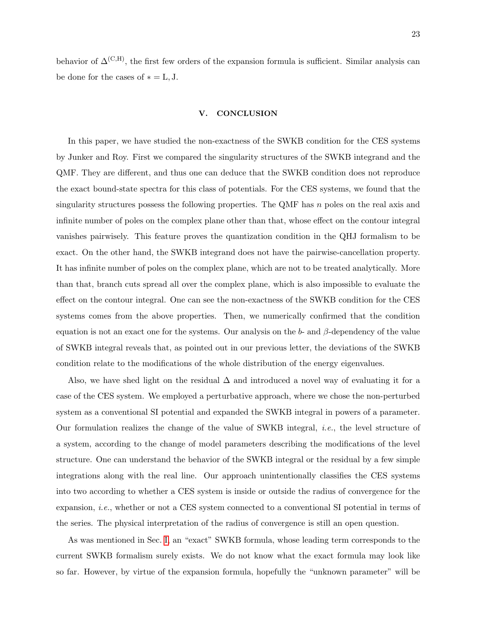behavior of  $\Delta^{(C,H)}$ , the first few orders of the expansion formula is sufficient. Similar analysis can be done for the cases of  $* = L, J$ .

#### V. CONCLUSION

In this paper, we have studied the non-exactness of the SWKB condition for the CES systems by Junker and Roy. First we compared the singularity structures of the SWKB integrand and the QMF. They are different, and thus one can deduce that the SWKB condition does not reproduce the exact bound-state spectra for this class of potentials. For the CES systems, we found that the singularity structures possess the following properties. The QMF has  $n$  poles on the real axis and infinite number of poles on the complex plane other than that, whose effect on the contour integral vanishes pairwisely. This feature proves the quantization condition in the QHJ formalism to be exact. On the other hand, the SWKB integrand does not have the pairwise-cancellation property. It has infinite number of poles on the complex plane, which are not to be treated analytically. More than that, branch cuts spread all over the complex plane, which is also impossible to evaluate the effect on the contour integral. One can see the non-exactness of the SWKB condition for the CES systems comes from the above properties. Then, we numerically confirmed that the condition equation is not an exact one for the systems. Our analysis on the b- and  $\beta$ -dependency of the value of SWKB integral reveals that, as pointed out in our previous letter, the deviations of the SWKB condition relate to the modifications of the whole distribution of the energy eigenvalues.

Also, we have shed light on the residual  $\Delta$  and introduced a novel way of evaluating it for a case of the CES system. We employed a perturbative approach, where we chose the non-perturbed system as a conventional SI potential and expanded the SWKB integral in powers of a parameter. Our formulation realizes the change of the value of SWKB integral, i.e., the level structure of a system, according to the change of model parameters describing the modifications of the level structure. One can understand the behavior of the SWKB integral or the residual by a few simple integrations along with the real line. Our approach unintentionally classifies the CES systems into two according to whether a CES system is inside or outside the radius of convergence for the expansion, i.e., whether or not a CES system connected to a conventional SI potential in terms of the series. The physical interpretation of the radius of convergence is still an open question.

As was mentioned in Sec. [I,](#page-0-2) an "exact" SWKB formula, whose leading term corresponds to the current SWKB formalism surely exists. We do not know what the exact formula may look like so far. However, by virtue of the expansion formula, hopefully the "unknown parameter" will be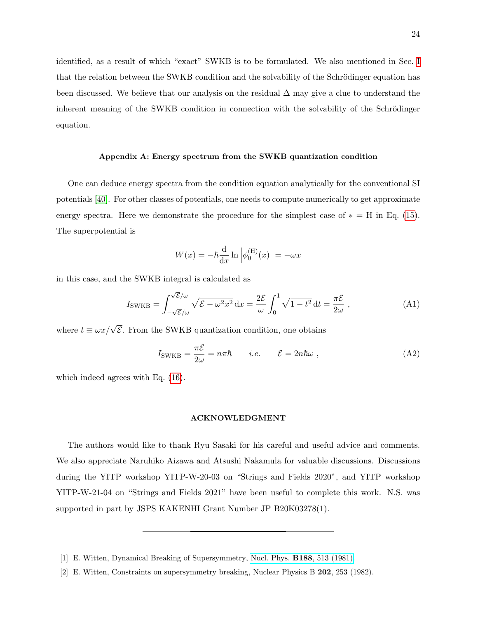identified, as a result of which "exact" SWKB is to be formulated. We also mentioned in Sec. [I](#page-0-2) that the relation between the SWKB condition and the solvability of the Schrödinger equation has been discussed. We believe that our analysis on the residual  $\Delta$  may give a clue to understand the inherent meaning of the SWKB condition in connection with the solvability of the Schrödinger equation.

## <span id="page-23-1"></span>Appendix A: Energy spectrum from the SWKB quantization condition

One can deduce energy spectra from the condition equation analytically for the conventional SI potentials [\[40\]](#page-26-0). For other classes of potentials, one needs to compute numerically to get approximate energy spectra. Here we demonstrate the procedure for the simplest case of  $* = H$  in Eq. [\(15\)](#page-6-0). The superpotential is

$$
W(x) = -\hbar \frac{\mathrm{d}}{\mathrm{d}x} \ln \left| \phi_0^{(\mathrm{H})}(x) \right| = -\omega x
$$

in this case, and the SWKB integral is calculated as

$$
I_{\text{SWKB}} = \int_{-\sqrt{\mathcal{E}}/\omega}^{\sqrt{\mathcal{E}}/\omega} \sqrt{\mathcal{E} - \omega^2 x^2} \, \mathrm{d}x = \frac{2\mathcal{E}}{\omega} \int_0^1 \sqrt{1 - t^2} \, \mathrm{d}t = \frac{\pi \mathcal{E}}{2\omega} \,,\tag{A1}
$$

where  $t \equiv \omega x / \sqrt{\mathcal{E}}$ . From the SWKB quantization condition, one obtains

$$
I_{\text{SWKB}} = \frac{\pi \mathcal{E}}{2\omega} = n\pi \hbar \qquad i.e. \qquad \mathcal{E} = 2n\hbar\omega , \qquad (A2)
$$

which indeed agrees with Eq. [\(16\)](#page-6-1).

## ACKNOWLEDGMENT

The authors would like to thank Ryu Sasaki for his careful and useful advice and comments. We also appreciate Naruhiko Aizawa and Atsushi Nakamula for valuable discussions. Discussions during the YITP workshop YITP-W-20-03 on "Strings and Fields 2020", and YITP workshop YITP-W-21-04 on "Strings and Fields 2021" have been useful to complete this work. N.S. was supported in part by JSPS KAKENHI Grant Number JP B20K03278(1).

<span id="page-23-0"></span><sup>[1]</sup> E. Witten, Dynamical Breaking of Supersymmetry, Nucl. Phys. B188[, 513 \(1981\).](https://doi.org/10.1016/0550-3213(81)90006-7)

<sup>[2]</sup> E. Witten, Constraints on supersymmetry breaking, Nuclear Physics B 202, 253 (1982).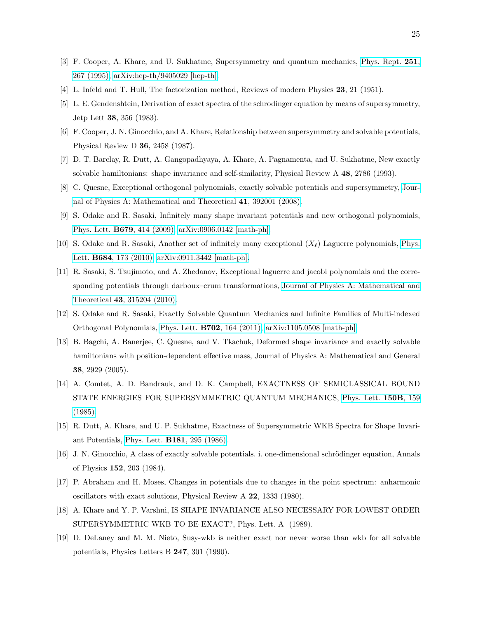- <span id="page-24-0"></span>[3] F. Cooper, A. Khare, and U. Sukhatme, Supersymmetry and quantum mechanics, [Phys. Rept.](https://doi.org/10.1016/0370-1573(94)00080-M) 251, [267 \(1995\),](https://doi.org/10.1016/0370-1573(94)00080-M) [arXiv:hep-th/9405029 \[hep-th\].](https://arxiv.org/abs/hep-th/9405029)
- <span id="page-24-2"></span><span id="page-24-1"></span>[4] L. Infeld and T. Hull, The factorization method, Reviews of modern Physics 23, 21 (1951).
- [5] L. E. Gendenshtein, Derivation of exact spectra of the schrodinger equation by means of supersymmetry, Jetp Lett 38, 356 (1983).
- <span id="page-24-3"></span>[6] F. Cooper, J. N. Ginocchio, and A. Khare, Relationship between supersymmetry and solvable potentials, Physical Review D 36, 2458 (1987).
- <span id="page-24-4"></span>[7] D. T. Barclay, R. Dutt, A. Gangopadhyaya, A. Khare, A. Pagnamenta, and U. Sukhatme, New exactly solvable hamiltonians: shape invariance and self-similarity, Physical Review A 48, 2786 (1993).
- <span id="page-24-12"></span>[8] C. Quesne, Exceptional orthogonal polynomials, exactly solvable potentials and supersymmetry, [Jour](https://doi.org/10.1088/1751-8113/41/39/392001)[nal of Physics A: Mathematical and Theoretical](https://doi.org/10.1088/1751-8113/41/39/392001) 41, 392001 (2008).
- [9] S. Odake and R. Sasaki, Infinitely many shape invariant potentials and new orthogonal polynomials, Phys. Lett. B679[, 414 \(2009\),](https://doi.org/10.1016/j.physletb.2009.08.004) [arXiv:0906.0142 \[math-ph\].](https://arxiv.org/abs/0906.0142)
- [10] S. Odake and R. Sasaki, Another set of infinitely many exceptional  $(X_\ell)$  Laguerre polynomials, [Phys.](https://doi.org/10.1016/j.physletb.2009.12.062) Lett. B684[, 173 \(2010\),](https://doi.org/10.1016/j.physletb.2009.12.062) [arXiv:0911.3442 \[math-ph\].](https://arxiv.org/abs/0911.3442)
- [11] R. Sasaki, S. Tsujimoto, and A. Zhedanov, Exceptional laguerre and jacobi polynomials and the corresponding potentials through darboux–crum transformations, [Journal of Physics A: Mathematical and](https://doi.org/10.1088/1751-8113/43/31/315204) Theoretical 43[, 315204 \(2010\).](https://doi.org/10.1088/1751-8113/43/31/315204)
- <span id="page-24-13"></span>[12] S. Odake and R. Sasaki, Exactly Solvable Quantum Mechanics and Infinite Families of Multi-indexed Orthogonal Polynomials, Phys. Lett. B702[, 164 \(2011\),](https://doi.org/10.1016/j.physletb.2011.06.075) [arXiv:1105.0508 \[math-ph\].](https://arxiv.org/abs/1105.0508)
- <span id="page-24-5"></span>[13] B. Bagchi, A. Banerjee, C. Quesne, and V. Tkachuk, Deformed shape invariance and exactly solvable hamiltonians with position-dependent effective mass, Journal of Physics A: Mathematical and General 38, 2929 (2005).
- <span id="page-24-6"></span>[14] A. Comtet, A. D. Bandrauk, and D. K. Campbell, EXACTNESS OF SEMICLASSICAL BOUND STATE ENERGIES FOR SUPERSYMMETRIC QUANTUM MECHANICS, [Phys. Lett.](https://doi.org/10.1016/0370-2693(85)90160-1) 150B, 159 [\(1985\).](https://doi.org/10.1016/0370-2693(85)90160-1)
- <span id="page-24-7"></span>[15] R. Dutt, A. Khare, and U. P. Sukhatme, Exactness of Supersymmetric WKB Spectra for Shape Invariant Potentials, Phys. Lett. B181[, 295 \(1986\).](https://doi.org/10.1016/0370-2693(86)90049-3)
- <span id="page-24-8"></span>[16] J. N. Ginocchio, A class of exactly solvable potentials. i. one-dimensional schrödinger equation, Annals of Physics 152, 203 (1984).
- <span id="page-24-9"></span>[17] P. Abraham and H. Moses, Changes in potentials due to changes in the point spectrum: anharmonic oscillators with exact solutions, Physical Review A 22, 1333 (1980).
- <span id="page-24-10"></span>[18] A. Khare and Y. P. Varshni, IS SHAPE INVARIANCE ALSO NECESSARY FOR LOWEST ORDER SUPERSYMMETRIC WKB TO BE EXACT?, Phys. Lett. A (1989).
- <span id="page-24-11"></span>[19] D. DeLaney and M. M. Nieto, Susy-wkb is neither exact nor never worse than wkb for all solvable potentials, Physics Letters B 247, 301 (1990).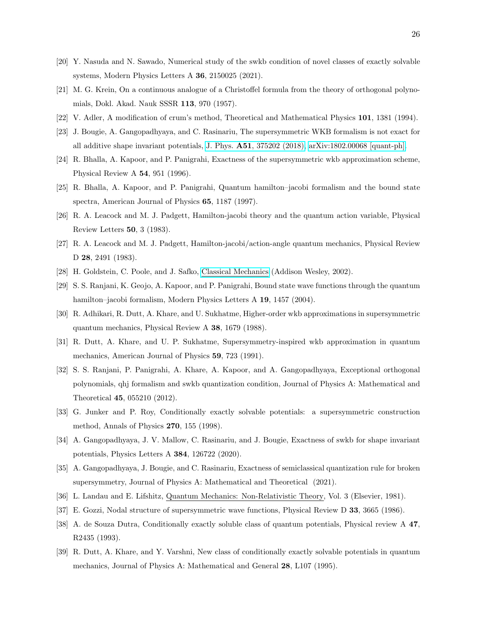- <span id="page-25-0"></span>[20] Y. Nasuda and N. Sawado, Numerical study of the swkb condition of novel classes of exactly solvable systems, Modern Physics Letters A 36, 2150025 (2021).
- <span id="page-25-1"></span>[21] M. G. Krein, On a continuous analogue of a Christoffel formula from the theory of orthogonal polynomials, Dokl. Akad. Nauk SSSR 113, 970 (1957).
- <span id="page-25-3"></span><span id="page-25-2"></span>[22] V. Adler, A modification of crum's method, Theoretical and Mathematical Physics 101, 1381 (1994).
- [23] J. Bougie, A. Gangopadhyaya, and C. Rasinariu, The supersymmetric WKB formalism is not exact for all additive shape invariant potentials, J. Phys. A51[, 375202 \(2018\),](https://doi.org/10.1088/1751-8121/aad3db) [arXiv:1802.00068 \[quant-ph\].](https://arxiv.org/abs/1802.00068)
- <span id="page-25-4"></span>[24] R. Bhalla, A. Kapoor, and P. Panigrahi, Exactness of the supersymmetric wkb approximation scheme, Physical Review A 54, 951 (1996).
- <span id="page-25-5"></span>[25] R. Bhalla, A. Kapoor, and P. Panigrahi, Quantum hamilton–jacobi formalism and the bound state spectra, American Journal of Physics 65, 1187 (1997).
- <span id="page-25-6"></span>[26] R. A. Leacock and M. J. Padgett, Hamilton-jacobi theory and the quantum action variable, Physical Review Letters 50, 3 (1983).
- <span id="page-25-7"></span>[27] R. A. Leacock and M. J. Padgett, Hamilton-jacobi/action-angle quantum mechanics, Physical Review D 28, 2491 (1983).
- <span id="page-25-9"></span><span id="page-25-8"></span>[28] H. Goldstein, C. Poole, and J. Safko, [Classical Mechanics](https://books.google.co.jp/books?id=tJCuQgAACAAJ) (Addison Wesley, 2002).
- [29] S. S. Ranjani, K. Geojo, A. Kapoor, and P. Panigrahi, Bound state wave functions through the quantum hamilton–jacobi formalism, Modern Physics Letters A 19, 1457 (2004).
- <span id="page-25-10"></span>[30] R. Adhikari, R. Dutt, A. Khare, and U. Sukhatme, Higher-order wkb approximations in supersymmetric quantum mechanics, Physical Review A 38, 1679 (1988).
- [31] R. Dutt, A. Khare, and U. P. Sukhatme, Supersymmetry-inspired wkb approximation in quantum mechanics, American Journal of Physics 59, 723 (1991).
- <span id="page-25-11"></span>[32] S. S. Ranjani, P. Panigrahi, A. Khare, A. Kapoor, and A. Gangopadhyaya, Exceptional orthogonal polynomials, qhj formalism and swkb quantization condition, Journal of Physics A: Mathematical and Theoretical 45, 055210 (2012).
- <span id="page-25-12"></span>[33] G. Junker and P. Roy, Conditionally exactly solvable potentials: a supersymmetric construction method, Annals of Physics 270, 155 (1998).
- <span id="page-25-13"></span>[34] A. Gangopadhyaya, J. V. Mallow, C. Rasinariu, and J. Bougie, Exactness of swkb for shape invariant potentials, Physics Letters A 384, 126722 (2020).
- <span id="page-25-14"></span>[35] A. Gangopadhyaya, J. Bougie, and C. Rasinariu, Exactness of semiclassical quantization rule for broken supersymmetry, Journal of Physics A: Mathematical and Theoretical (2021).
- <span id="page-25-16"></span><span id="page-25-15"></span>[36] L. Landau and E. Lifshitz, Quantum Mechanics: Non-Relativistic Theory, Vol. 3 (Elsevier, 1981).
- <span id="page-25-17"></span>[37] E. Gozzi, Nodal structure of supersymmetric wave functions, Physical Review D 33, 3665 (1986).
- [38] A. de Souza Dutra, Conditionally exactly soluble class of quantum potentials, Physical review A 47, R2435 (1993).
- <span id="page-25-18"></span>[39] R. Dutt, A. Khare, and Y. Varshni, New class of conditionally exactly solvable potentials in quantum mechanics, Journal of Physics A: Mathematical and General 28, L107 (1995).